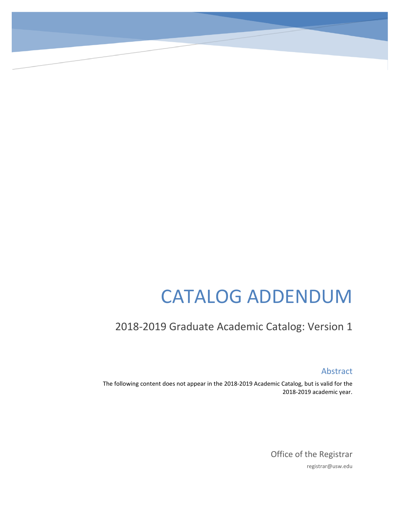# CATALOG ADDENDUM

# 2018-2019 Graduate Academic Catalog: Version 1

Abstract

The following content does not appear in the 2018-2019 Academic Catalog, but is valid for the 2018-2019 academic year.

> Office of the Registrar registrar@usw.edu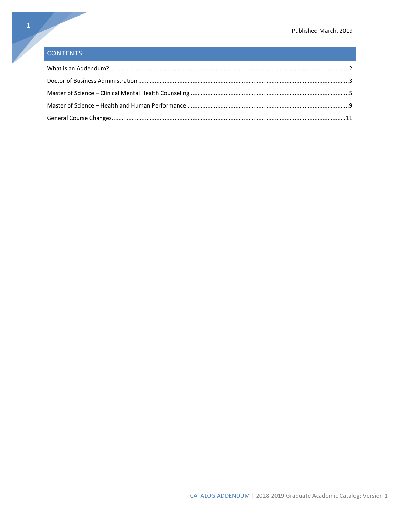# CONTENTS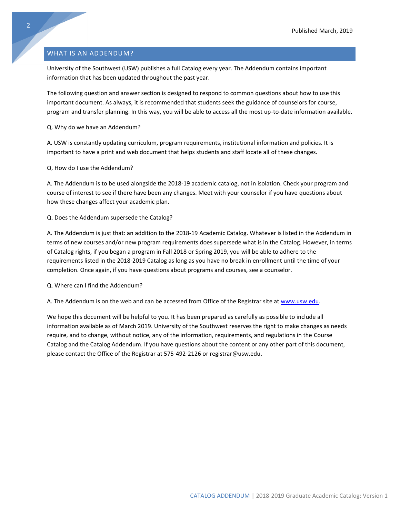#### <span id="page-2-0"></span>WHAT IS AN ADDENDUM?

University of the Southwest (USW) publishes a full Catalog every year. The Addendum contains important information that has been updated throughout the past year.

The following question and answer section is designed to respond to common questions about how to use this important document. As always, it is recommended that students seek the guidance of counselors for course, program and transfer planning. In this way, you will be able to access all the most up-to-date information available.

Q. Why do we have an Addendum?

A. USW is constantly updating curriculum, program requirements, institutional information and policies. It is important to have a print and web document that helps students and staff locate all of these changes.

Q. How do I use the Addendum?

A. The Addendum is to be used alongside the 2018-19 academic catalog, not in isolation. Check your program and course of interest to see if there have been any changes. Meet with your counselor if you have questions about how these changes affect your academic plan.

#### Q. Does the Addendum supersede the Catalog?

A. The Addendum is just that: an addition to the 2018-19 Academic Catalog. Whatever is listed in the Addendum in terms of new courses and/or new program requirements does supersede what is in the Catalog. However, in terms of Catalog rights, if you began a program in Fall 2018 or Spring 2019, you will be able to adhere to the requirements listed in the 2018-2019 Catalog as long as you have no break in enrollment until the time of your completion. Once again, if you have questions about programs and courses, see a counselor.

Q. Where can I find the Addendum?

A. The Addendum is on the web and can be accessed from Office of the Registrar site at [www.usw.edu.](http://www.usw.edu/)

We hope this document will be helpful to you. It has been prepared as carefully as possible to include all information available as of March 2019. University of the Southwest reserves the right to make changes as needs require, and to change, without notice, any of the information, requirements, and regulations in the Course Catalog and the Catalog Addendum. If you have questions about the content or any other part of this document, please contact the Office of the Registrar at 575-492-2126 or registrar@usw.edu.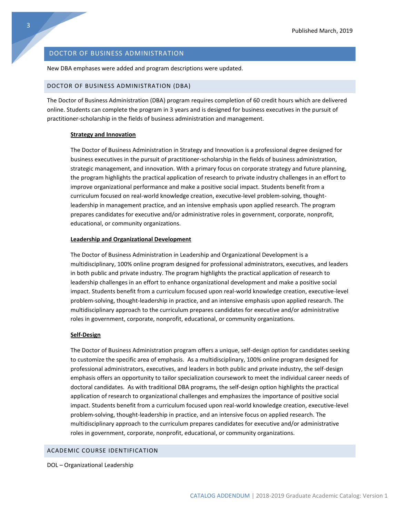#### <span id="page-3-0"></span>DOCTOR OF BUSINESS ADMINISTRATION

New DBA emphases were added and program descriptions were updated.

#### DOCTOR OF BUSINESS ADMINISTRATION (DBA)

The Doctor of Business Administration (DBA) program requires completion of 60 credit hours which are delivered online. Students can complete the program in 3 years and is designed for business executives in the pursuit of practitioner-scholarship in the fields of business administration and management.

#### **Strategy and Innovation**

The Doctor of Business Administration in Strategy and Innovation is a professional degree designed for business executives in the pursuit of practitioner-scholarship in the fields of business administration, strategic management, and innovation. With a primary focus on corporate strategy and future planning, the program highlights the practical application of research to private industry challenges in an effort to improve organizational performance and make a positive social impact. Students benefit from a curriculum focused on real-world knowledge creation, executive-level problem-solving, thoughtleadership in management practice, and an intensive emphasis upon applied research. The program prepares candidates for executive and/or administrative roles in government, corporate, nonprofit, educational, or community organizations.

#### **Leadership and Organizational Development**

The Doctor of Business Administration in Leadership and Organizational Development is a multidisciplinary, 100% online program designed for professional administrators, executives, and leaders in both public and private industry. The program highlights the practical application of research to leadership challenges in an effort to enhance organizational development and make a positive social impact. Students benefit from a curriculum focused upon real-world knowledge creation, executive-level problem-solving, thought-leadership in practice, and an intensive emphasis upon applied research. The multidisciplinary approach to the curriculum prepares candidates for executive and/or administrative roles in government, corporate, nonprofit, educational, or community organizations.

#### **Self-Design**

The Doctor of Business Administration program offers a unique, self-design option for candidates seeking to customize the specific area of emphasis. As a multidisciplinary, 100% online program designed for professional administrators, executives, and leaders in both public and private industry, the self-design emphasis offers an opportunity to tailor specialization coursework to meet the individual career needs of doctoral candidates. As with traditional DBA programs, the self-design option highlights the practical application of research to organizational challenges and emphasizes the importance of positive social impact. Students benefit from a curriculum focused upon real-world knowledge creation, executive-level problem-solving, thought-leadership in practice, and an intensive focus on applied research. The multidisciplinary approach to the curriculum prepares candidates for executive and/or administrative roles in government, corporate, nonprofit, educational, or community organizations.

#### ACADEMIC COURSE IDENTIFICATION

DOL – Organizational Leadership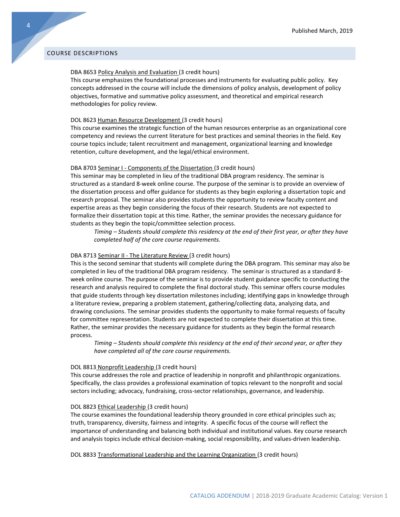#### COURSE DESCRIPTIONS

#### DBA 8653 Policy Analysis and Evaluation (3 credit hours)

This course emphasizes the foundational processes and instruments for evaluating public policy. Key concepts addressed in the course will include the dimensions of policy analysis, development of policy objectives, formative and summative policy assessment, and theoretical and empirical research methodologies for policy review.

#### DOL 8623 Human Resource Development (3 credit hours)

This course examines the strategic function of the human resources enterprise as an organizational core competency and reviews the current literature for best practices and seminal theories in the field. Key course topics include; talent recruitment and management, organizational learning and knowledge retention, culture development, and the legal/ethical environment.

#### DBA 8703 Seminar I - Components of the Dissertation (3 credit hours)

This seminar may be completed in lieu of the traditional DBA program residency. The seminar is structured as a standard 8-week online course. The purpose of the seminar is to provide an overview of the dissertation process and offer guidance for students as they begin exploring a dissertation topic and research proposal. The seminar also provides students the opportunity to review faculty content and expertise areas as they begin considering the focus of their research. Students are not expected to formalize their dissertation topic at this time. Rather, the seminar provides the necessary guidance for students as they begin the topic/committee selection process.

*Timing – Students should complete this residency at the end of their first year, or after they have completed half of the core course requirements.*

#### DBA 8713 Seminar II - The Literature Review (3 credit hours)

This is the second seminar that students will complete during the DBA program. This seminar may also be completed in lieu of the traditional DBA program residency. The seminar is structured as a standard 8 week online course. The purpose of the seminar is to provide student guidance specific to conducting the research and analysis required to complete the final doctoral study. This seminar offers course modules that guide students through key dissertation milestones including; identifying gaps in knowledge through a literature review, preparing a problem statement, gathering/collecting data, analyzing data, and drawing conclusions. The seminar provides students the opportunity to make formal requests of faculty for committee representation. Students are not expected to complete their dissertation at this time. Rather, the seminar provides the necessary guidance for students as they begin the formal research process.

*Timing – Students should complete this residency at the end of their second year, or after they have completed all of the core course requirements.*

#### DOL 8813 Nonprofit Leadership (3 credit hours)

This course addresses the role and practice of leadership in nonprofit and philanthropic organizations. Specifically, the class provides a professional examination of topics relevant to the nonprofit and social sectors including; advocacy, fundraising, cross-sector relationships, governance, and leadership.

#### DOL 8823 Ethical Leadership (3 credit hours)

The course examines the foundational leadership theory grounded in core ethical principles such as; truth, transparency, diversity, fairness and integrity. A specific focus of the course will reflect the importance of understanding and balancing both individual and institutional values. Key course research and analysis topics include ethical decision-making, social responsibility, and values-driven leadership.

DOL 8833 Transformational Leadership and the Learning Organization (3 credit hours)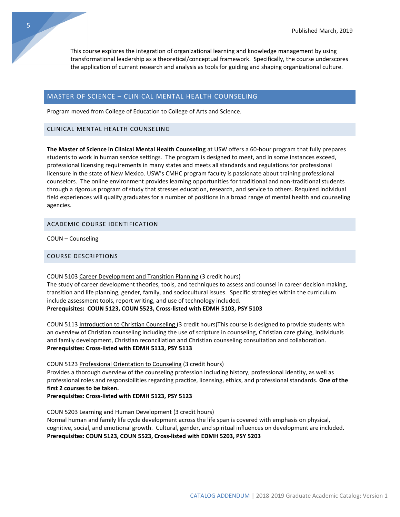This course explores the integration of organizational learning and knowledge management by using transformational leadership as a theoretical/conceptual framework. Specifically, the course underscores the application of current research and analysis as tools for guiding and shaping organizational culture.

#### <span id="page-5-0"></span>MASTER OF SCIENCE – CLINICAL MENTAL HEALTH COUNSELING

Program moved from College of Education to College of Arts and Science.

#### CLINICAL MENTAL HEALTH COUNSELING

**The Master of Science in Clinical Mental Health Counseling** at USW offers a 60-hour program that fully prepares students to work in human service settings. The program is designed to meet, and in some instances exceed, professional licensing requirements in many states and meets all standards and regulations for professional licensure in the state of New Mexico. USW's CMHC program faculty is passionate about training professional counselors. The online environment provides learning opportunities for traditional and non-traditional students through a rigorous program of study that stresses education, research, and service to others. Required individual field experiences will qualify graduates for a number of positions in a broad range of mental health and counseling agencies.

#### ACADEMIC COURSE IDENTIFICATION

COUN – Counseling

#### COURSE DESCRIPTIONS

#### COUN 5103 Career Development and Transition Planning (3 credit hours)

The study of career development theories, tools, and techniques to assess and counsel in career decision making, transition and life planning, gender, family, and sociocultural issues. Specific strategies within the curriculum include assessment tools, report writing, and use of technology included.

#### **Prerequisites: COUN 5123, COUN 5523, Cross-listed with EDMH 5103, PSY 5103**

COUN 5113 Introduction to Christian Counseling (3 credit hours)This course is designed to provide students with an overview of Christian counseling including the use of scripture in counseling, Christian care giving, individuals and family development, Christian reconciliation and Christian counseling consultation and collaboration. **Prerequisites: Cross-listed with EDMH 5113, PSY 5113**

#### COUN 5123 Professional Orientation to Counseling (3 credit hours)

Provides a thorough overview of the counseling profession including history, professional identity, as well as professional roles and responsibilities regarding practice, licensing, ethics, and professional standards. **One of the first 2 courses to be taken.**

#### **Prerequisites: Cross-listed with EDMH 5123, PSY 5123**

#### COUN 5203 Learning and Human Development (3 credit hours)

Normal human and family life cycle development across the life span is covered with emphasis on physical, cognitive, social, and emotional growth. Cultural, gender, and spiritual influences on development are included. **Prerequisites: COUN 5123, COUN 5523, Cross-listed with EDMH 5203, PSY 5203**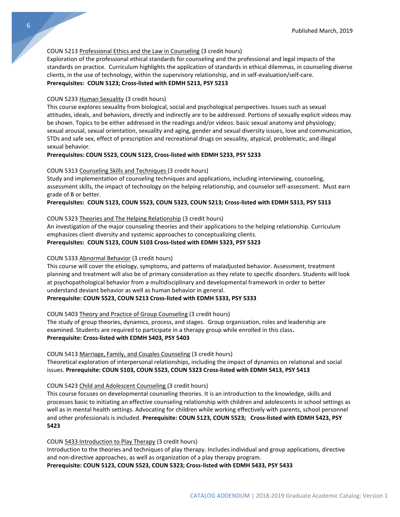#### COUN 5213 Professional Ethics and the Law in Counseling (3 credit hours)

Exploration of the professional ethical standards for counseling and the professional and legal impacts of the standards on practice. Curriculum highlights the application of standards in ethical dilemmas, in counseling diverse clients, in the use of technology, within the supervisory relationship, and in self-evaluation/self-care. **Prerequisites: COUN 5123; Cross-listed with EDMH 5213, PSY 5213**

#### COUN 5233 Human Sexuality (3 credit hours)

This course explores sexuality from biological, social and psychological perspectives. Issues such as sexual attitudes, ideals, and behaviors, directly and indirectly are to be addressed. Portions of sexually explicit videos may be shown. Topics to be either addressed in the readings and/or videos: basic sexual anatomy and physiology; sexual arousal, sexual orientation, sexuality and aging, gender and sexual diversity issues, love and communication, STDs and safe sex, effect of prescription and recreational drugs on sexuality, atypical, problematic, and illegal sexual behavior.

#### **Prerequisites: COUN 5523, COUN 5123, Cross-listed with EDMH 5233, PSY 5233**

#### COUN 5313 Counseling Skills and Techniques (3 credit hours)

Study and implementation of counseling techniques and applications, including interviewing, counseling, assessment skills, the impact of technology on the helping relationship, and counselor self-assessment. Must earn grade of B or better.

#### **Prerequisites: COUN 5123, COUN 5523, COUN 5323, COUN 5213; Cross-listed with EDMH 5313, PSY 5313**

#### COUN 5323 Theories and The Helping Relationship (3 credit hours)

An investigation of the major counseling theories and their applications to the helping relationship. Curriculum emphasizes client diversity and systemic approaches to conceptualizing clients.

## **Prerequisites: COUN 5123, COUN 5103 Cross-listed with EDMH 5323, PSY 5323**

#### COUN 5333 Abnormal Behavior (3 credit hours)

This course will cover the etiology, symptoms, and patterns of maladjusted behavior. Assessment, treatment planning and treatment will also be of primary consideration as they relate to specific disorders. Students will look at psychopathological behavior from a multidisciplinary and developmental framework in order to better understand deviant behavior as well as human behavior in general.

#### **Prerequisite: COUN 5523, COUN 5213 Cross-listed with EDMH 5333, PSY 5333**

#### COUN 5403 Theory and Practice of Group Counseling (3 credit hours)

The study of group theories, dynamics, process, and stages. Group organization, roles and leadership are examined. Students are required to participate in a therapy group while enrolled in this class**. Prerequisite: Cross-listed with EDMH 5403, PSY 5403**

#### COUN 5413 Marriage, Family, and Couples Counseling (3 credit hours)

Theoretical exploration of interpersonal relationships, including the impact of dynamics on relational and social issues. **Prerequisite: COUN 5103, COUN 5523, COUN 5323 Cross-listed with EDMH 5413, PSY 5413**

#### COUN 5423 Child and Adolescent Counseling (3 credit hours)

This course focuses on developmental counseling theories. It is an introduction to the knowledge, skills and processes basic to initiating an effective counseling relationship with children and adolescents in school settings as well as in mental health settings. Advocating for children while working effectively with parents, school personnel and other professionals is included. **Prerequisite: COUN 5123, COUN 5523; Cross-listed with EDMH 5423, PSY 5423**

#### COUN 5433 Introduction to Play Therapy (3 credit hours)

Introduction to the theories and techniques of play therapy. Includes individual and group applications, directive and non-directive approaches, as well as organization of a play therapy program.

**Prerequisite: COUN 5123, COUN 5523, COUN 5323; Cross-listed with EDMH 5433, PSY 5433**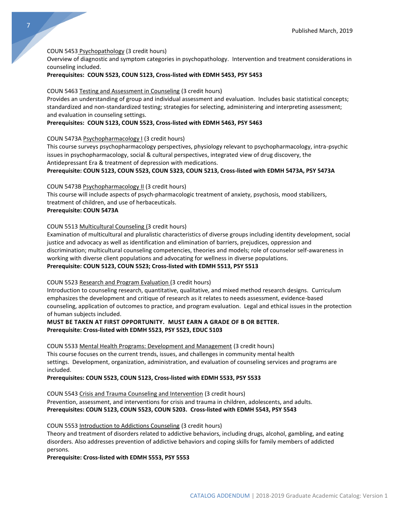#### COUN 5453 Psychopathology (3 credit hours)

Overview of diagnostic and symptom categories in psychopathology. Intervention and treatment considerations in counseling included.

#### **Prerequisites: COUN 5523, COUN 5123, Cross-listed with EDMH 5453, PSY 5453**

#### COUN 5463 Testing and Assessment in Counseling (3 credit hours)

Provides an understanding of group and individual assessment and evaluation. Includes basic statistical concepts; standardized and non-standardized testing; strategies for selecting, administering and interpreting assessment; and evaluation in counseling settings.

#### **Prerequisites: COUN 5123, COUN 5523, Cross-listed with EDMH 5463, PSY 5463**

#### COUN 5473A Psychopharmacology I (3 credit hours)

This course surveys psychopharmacology perspectives, physiology relevant to psychopharmacology, intra-psychic issues in psychopharmacology, social & cultural perspectives, integrated view of drug discovery, the Antidepressant Era & treatment of depression with medications.

#### **Prerequisite: COUN 5123, COUN 5523, COUN 5323, COUN 5213, Cross-listed with EDMH 5473A, PSY 5473A**

#### COUN 5473B Psychopharmacology II (3 credit hours)

This course will include aspects of psych-pharmacologic treatment of anxiety, psychosis, mood stabilizers, treatment of children, and use of herbaceuticals. **Prerequisite: COUN 5473A**

#### COUN 5513 Multicultural Counseling (3 credit hours)

Examination of multicultural and pluralistic characteristics of diverse groups including identity development, social justice and advocacy as well as identification and elimination of barriers, prejudices, oppression and discrimination; multicultural counseling competencies, theories and models; role of counselor self-awareness in working with diverse client populations and advocating for wellness in diverse populations. **Prerequisite: COUN 5123, COUN 5523; Cross-listed with EDMH 5513, PSY 5513**

#### COUN 5523 Research and Program Evaluation (3 credit hours)

Introduction to counseling research, quantitative, qualitative, and mixed method research designs. Curriculum emphasizes the development and critique of research as it relates to needs assessment, evidence-based counseling, application of outcomes to practice, and program evaluation. Legal and ethical issues in the protection of human subjects included.

#### **MUST BE TAKEN AT FIRST OPPORTUNITY. MUST EARN A GRADE OF B OR BETTER. Prerequisite: Cross-listed with EDMH 5523, PSY 5523, EDUC 5103**

COUN 5533 Mental Health Programs: Development and Management (3 credit hours) This course focuses on the current trends, issues, and challenges in community mental health settings. Development, organization, administration, and evaluation of counseling services and programs are included.

#### **Prerequisites: COUN 5523, COUN 5123, Cross-listed with EDMH 5533, PSY 5533**

COUN 5543 Crisis and Trauma Counseling and Intervention (3 credit hours) Prevention, assessment, and interventions for crisis and trauma in children, adolescents, and adults. **Prerequisites: COUN 5123, COUN 5523, COUN 5203. Cross-listed with EDMH 5543, PSY 5543**

#### COUN 5553 Introduction to Addictions Counseling (3 credit hours)

Theory and treatment of disorders related to addictive behaviors, including drugs, alcohol, gambling, and eating disorders. Also addresses prevention of addictive behaviors and coping skills for family members of addicted persons.

#### **Prerequisite: Cross-listed with EDMH 5553, PSY 5553**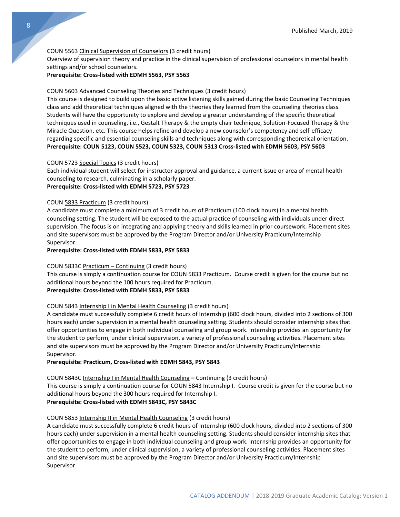#### COUN 5563 Clinical Supervision of Counselors (3 credit hours)

Overview of supervision theory and practice in the clinical supervision of professional counselors in mental health settings and/or school counselors.

#### **Prerequisite: Cross-listed with EDMH 5563, PSY 5563**

#### COUN 5603 Advanced Counseling Theories and Techniques (3 credit hours)

This course is designed to build upon the basic active listening skills gained during the basic Counseling Techniques class and add theoretical techniques aligned with the theories they learned from the counseling theories class. Students will have the opportunity to explore and develop a greater understanding of the specific theoretical techniques used in counseling, i.e., Gestalt Therapy & the empty chair technique, Solution-Focused Therapy & the Miracle Question, etc. This course helps refine and develop a new counselor's competency and self-efficacy regarding specific and essential counseling skills and techniques along with corresponding theoretical orientation. **Prerequisite: COUN 5123, COUN 5523, COUN 5323, COUN 5313 Cross-listed with EDMH 5603, PSY 5603**

#### COUN 5723 Special Topics (3 credit hours)

Each individual student will select for instructor approval and guidance, a current issue or area of mental health counseling to research, culminating in a scholarly paper.

#### **Prerequisite: Cross-listed with EDMH 5723, PSY 5723**

#### COUN 5833 Practicum (3 credit hours)

A candidate must complete a minimum of 3 credit hours of Practicum (100 clock hours) in a mental health counseling setting. The student will be exposed to the actual practice of counseling with individuals under direct supervision. The focus is on integrating and applying theory and skills learned in prior coursework. Placement sites and site supervisors must be approved by the Program Director and/or University Practicum/Internship Supervisor.

#### **Prerequisite: Cross-listed with EDMH 5833, PSY 5833**

#### COUN 5833C Practicum – Continuing (3 credit hours)

This course is simply a continuation course for COUN 5833 Practicum. Course credit is given for the course but no additional hours beyond the 100 hours required for Practicum.

#### **Prerequisite: Cross-listed with EDMH 5833, PSY 5833**

#### COUN 5843 Internship I in Mental Health Counseling (3 credit hours)

A candidate must successfully complete 6 credit hours of Internship (600 clock hours, divided into 2 sections of 300 hours each) under supervision in a mental health counseling setting. Students should consider internship sites that offer opportunities to engage in both individual counseling and group work. Internship provides an opportunity for the student to perform, under clinical supervision, a variety of professional counseling activities. Placement sites and site supervisors must be approved by the Program Director and/or University Practicum/Internship Supervisor.

#### **Prerequisite: Practicum, Cross-listed with EDMH 5843, PSY 5843**

#### COUN 5843C Internship I in Mental Health Counseling **–** Continuing (3 credit hours)

This course is simply a continuation course for COUN 5843 Internship I. Course credit is given for the course but no additional hours beyond the 300 hours required for Internship I.

#### **Prerequisite: Cross-listed with EDMH 5843C, PSY 5843C**

#### COUN 5853 Internship II in Mental Health Counseling (3 credit hours)

A candidate must successfully complete 6 credit hours of Internship (600 clock hours, divided into 2 sections of 300 hours each) under supervision in a mental health counseling setting. Students should consider internship sites that offer opportunities to engage in both individual counseling and group work. Internship provides an opportunity for the student to perform, under clinical supervision, a variety of professional counseling activities. Placement sites and site supervisors must be approved by the Program Director and/or University Practicum/Internship Supervisor.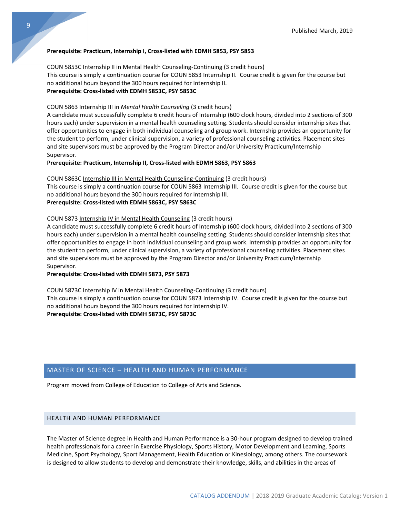#### **Prerequisite: Practicum, Internship I, Cross-listed with EDMH 5853, PSY 5853**

#### COUN 5853C Internship II in Mental Health Counseling-Continuing (3 credit hours)

This course is simply a continuation course for COUN 5853 Internship II. Course credit is given for the course but no additional hours beyond the 300 hours required for Internship II. **Prerequisite: Cross-listed with EDMH 5853C, PSY 5853C**

#### COUN 5863 Internship III in *Mental Health Counseling* (3 credit hours)

A candidate must successfully complete 6 credit hours of Internship (600 clock hours, divided into 2 sections of 300 hours each) under supervision in a mental health counseling setting. Students should consider internship sites that offer opportunities to engage in both individual counseling and group work. Internship provides an opportunity for the student to perform, under clinical supervision, a variety of professional counseling activities. Placement sites and site supervisors must be approved by the Program Director and/or University Practicum/Internship Supervisor.

#### **Prerequisite: Practicum, Internship II, Cross-listed with EDMH 5863, PSY 5863**

#### COUN 5863C Internship III in Mental Health Counseling-Continuing (3 credit hours)

This course is simply a continuation course for COUN 5863 Internship III. Course credit is given for the course but no additional hours beyond the 300 hours required for Internship III. **Prerequisite: Cross-listed with EDMH 5863C, PSY 5863C**

### COUN 5873 Internship IV in Mental Health Counseling (3 credit hours)

A candidate must successfully complete 6 credit hours of Internship (600 clock hours, divided into 2 sections of 300 hours each) under supervision in a mental health counseling setting. Students should consider internship sites that offer opportunities to engage in both individual counseling and group work. Internship provides an opportunity for the student to perform, under clinical supervision, a variety of professional counseling activities. Placement sites and site supervisors must be approved by the Program Director and/or University Practicum/Internship Supervisor.

#### **Prerequisite: Cross-listed with EDMH 5873, PSY 5873**

COUN 5873C Internship IV in Mental Health Counseling-Continuing (3 credit hours)

This course is simply a continuation course for COUN 5873 Internship IV. Course credit is given for the course but no additional hours beyond the 300 hours required for Internship IV.

**Prerequisite: Cross-listed with EDMH 5873C, PSY 5873C**

#### <span id="page-9-0"></span>MASTER OF SCIENCE – HEALTH AND HUMAN PERFORMANCE

Program moved from College of Education to College of Arts and Science.

#### HEALTH AND HUMAN PERFORMANCE

The Master of Science degree in Health and Human Performance is a 30-hour program designed to develop trained health professionals for a career in Exercise Physiology, Sports History, Motor Development and Learning, Sports Medicine, Sport Psychology, Sport Management, Health Education or Kinesiology, among others. The coursework is designed to allow students to develop and demonstrate their knowledge, skills, and abilities in the areas of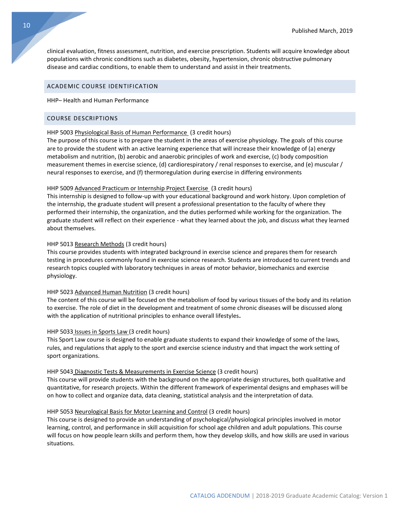clinical evaluation, fitness assessment, nutrition, and exercise prescription. Students will acquire knowledge about populations with chronic conditions such as diabetes, obesity, hypertension, chronic obstructive pulmonary disease and cardiac conditions, to enable them to understand and assist in their treatments.

#### ACADEMIC COURSE IDENTIFICATION

#### HHP– Health and Human Performance

#### COURSE DESCRIPTIONS

#### HHP 5003 Physiological Basis of Human Performance (3 credit hours)

The purpose of this course is to prepare the student in the areas of exercise physiology. The goals of this course are to provide the student with an active learning experience that will increase their knowledge of (a) energy metabolism and nutrition, (b) aerobic and anaerobic principles of work and exercise, (c) body composition measurement themes in exercise science, (d) cardiorespiratory / renal responses to exercise, and (e) muscular / neural responses to exercise, and (f) thermoregulation during exercise in differing environments

#### HHP 5009 Advanced Practicum or Internship Project Exercise (3 credit hours)

This internship is designed to follow-up with your educational background and work history. Upon completion of the internship, the graduate student will present a professional presentation to the faculty of where they performed their internship, the organization, and the duties performed while working for the organization. The graduate student will reflect on their experience - what they learned about the job, and discuss what they learned about themselves.

#### HHP 5013 Research Methods (3 credit hours)

This course provides students with integrated background in exercise science and prepares them for research testing in procedures commonly found in exercise science research. Students are introduced to current trends and research topics coupled with laboratory techniques in areas of motor behavior, biomechanics and exercise physiology.

#### HHP 5023 Advanced Human Nutrition (3 credit hours)

The content of this course will be focused on the metabolism of food by various tissues of the body and its relation to exercise. The role of diet in the development and treatment of some chronic diseases will be discussed along with the application of nutritional principles to enhance overall lifestyles**.**

#### HHP 5033 Issues in Sports Law (3 credit hours)

This Sport Law course is designed to enable graduate students to expand their knowledge of some of the laws, rules, and regulations that apply to the sport and exercise science industry and that impact the work setting of sport organizations.

#### HHP 5043 Diagnostic Tests & Measurements in Exercise Science (3 credit hours)

This course will provide students with the background on the appropriate design structures, both qualitative and quantitative, for research projects. Within the different framework of experimental designs and emphases will be on how to collect and organize data, data cleaning, statistical analysis and the interpretation of data.

#### HHP 5053 Neurological Basis for Motor Learning and Control (3 credit hours)

This course is designed to provide an understanding of psychological/physiological principles involved in motor learning, control, and performance in skill acquisition for school age children and adult populations. This course will focus on how people learn skills and perform them, how they develop skills, and how skills are used in various situations.